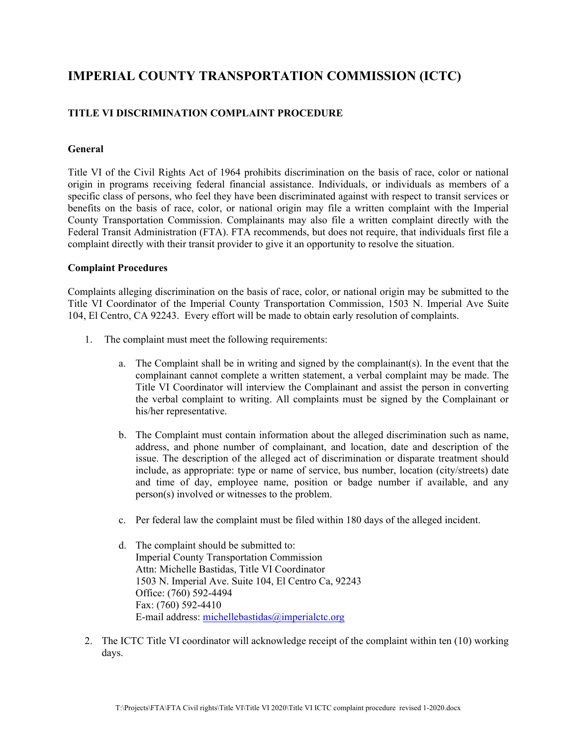# **IMPERIAL COUNTY TRANSPORTATION COMMISSION (ICTC)**

## **TITLE VI DISCRIMINATION COMPLAINT PROCEDURE**

### **General**

Title VI of the Civil Rights Act of 1964 prohibits discrimination on the basis of race, color or national origin in programs receiving federal financial assistance. Individuals, or individuals as members of a specific class of persons, who feel they have been discriminated against with respect to transit services or benefits on the basis of race, color, or national origin may file a written complaint with the Imperial County Transportation Commission. Complainants may also file a written complaint directly with the Federal Transit Administration (FTA). FTA recommends, but does not require, that individuals first file a complaint directly with their transit provider to give it an opportunity to resolve the situation.

#### **Complaint Procedures**

Complaints alleging discrimination on the basis of race, color, or national origin may be submitted to the Title VI Coordinator of the Imperial County Transportation Commission, 1503 N. Imperial Ave Suite 104, El Centro, CA 92243. Every effort will be made to obtain early resolution of complaints.

- 1. The complaint must meet the following requirements:
	- a. The Complaint shall be in writing and signed by the complainant(s). In the event that the complainant cannot complete a written statement, a verbal complaint may be made. The Title VI Coordinator will interview the Complainant and assist the person in converting the verbal complaint to writing. All complaints must be signed by the Complainant or his/her representative.
	- b. The Complaint must contain information about the alleged discrimination such as name, address, and phone number of complainant, and location, date and description of the issue. The description of the alleged act of discrimination or disparate treatment should include, as appropriate: type or name of service, bus number, location (city/streets) date and time of day, employee name, position or badge number if available, and any person(s) involved or witnesses to the problem.
	- c. Per federal law the complaint must be filed within 180 days of the alleged incident.
	- d. The complaint should be submitted to: Imperial County Transportation Commission Attn: Michelle Bastidas, Title VI Coordinator 1503 N. Imperial Ave. Suite 104, El Centro Ca, 92243 Office: (760) 592-4494 Fax: (760) 592-4410 E-mail address: [michellebastidas@imperialctc.org](mailto:michellebastidas@imperialctc.org)
- 2. The ICTC Title VI coordinator will acknowledge receipt of the complaint within ten (10) working days.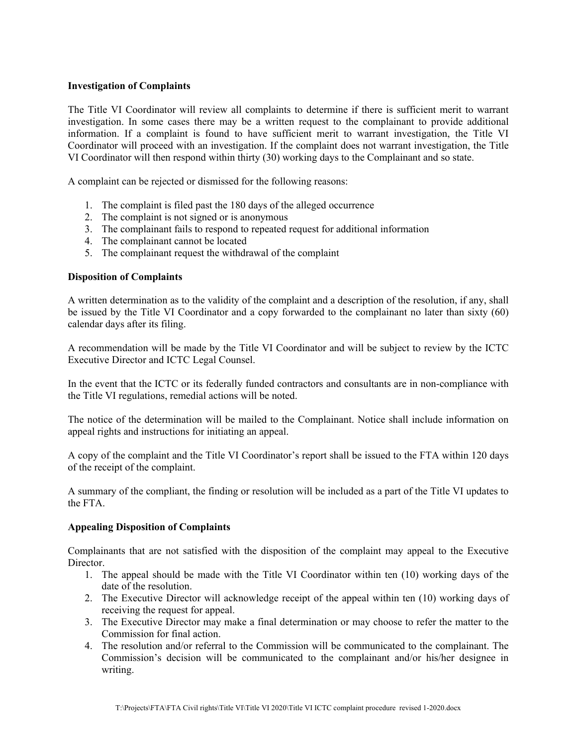## **Investigation of Complaints**

The Title VI Coordinator will review all complaints to determine if there is sufficient merit to warrant investigation. In some cases there may be a written request to the complainant to provide additional information. If a complaint is found to have sufficient merit to warrant investigation, the Title VI Coordinator will proceed with an investigation. If the complaint does not warrant investigation, the Title VI Coordinator will then respond within thirty (30) working days to the Complainant and so state.

A complaint can be rejected or dismissed for the following reasons:

- 1. The complaint is filed past the 180 days of the alleged occurrence
- 2. The complaint is not signed or is anonymous
- 3. The complainant fails to respond to repeated request for additional information
- 4. The complainant cannot be located
- 5. The complainant request the withdrawal of the complaint

## **Disposition of Complaints**

A written determination as to the validity of the complaint and a description of the resolution, if any, shall be issued by the Title VI Coordinator and a copy forwarded to the complainant no later than sixty (60) calendar days after its filing.

A recommendation will be made by the Title VI Coordinator and will be subject to review by the ICTC Executive Director and ICTC Legal Counsel.

In the event that the ICTC or its federally funded contractors and consultants are in non-compliance with the Title VI regulations, remedial actions will be noted.

The notice of the determination will be mailed to the Complainant. Notice shall include information on appeal rights and instructions for initiating an appeal.

A copy of the complaint and the Title VI Coordinator's report shall be issued to the FTA within 120 days of the receipt of the complaint.

A summary of the compliant, the finding or resolution will be included as a part of the Title VI updates to the FTA.

#### **Appealing Disposition of Complaints**

Complainants that are not satisfied with the disposition of the complaint may appeal to the Executive Director.

- 1. The appeal should be made with the Title VI Coordinator within ten (10) working days of the date of the resolution.
- 2. The Executive Director will acknowledge receipt of the appeal within ten (10) working days of receiving the request for appeal.
- 3. The Executive Director may make a final determination or may choose to refer the matter to the Commission for final action.
- 4. The resolution and/or referral to the Commission will be communicated to the complainant. The Commission's decision will be communicated to the complainant and/or his/her designee in writing.